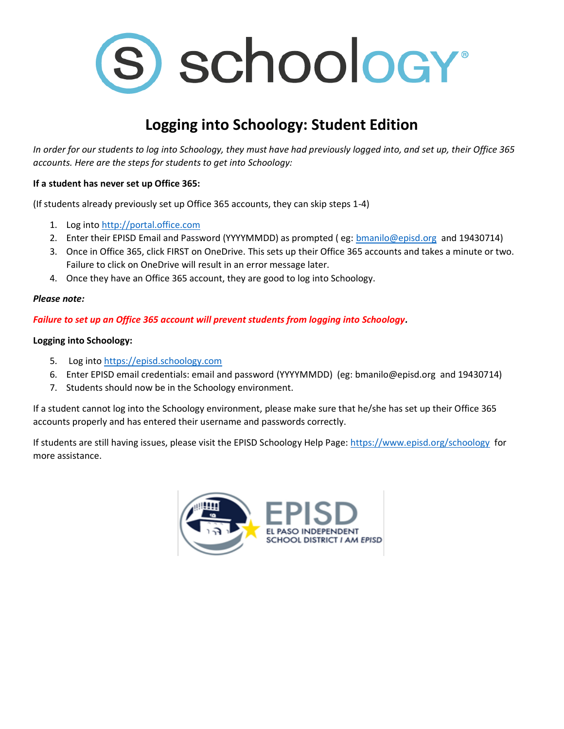

# **Logging into Schoology: Student Edition**

*In order for our students to log into Schoology, they must have had previously logged into, and set up, their Office 365 accounts. Here are the steps for students to get into Schoology:*

### **If a student has never set up Office 365:**

(If students already previously set up Office 365 accounts, they can skip steps 1-4)

- 1. Log int[o http://portal.office.com](http://portal.office.com/)
- 2. Enter their EPISD Email and Password (YYYYMMDD) as prompted (eg: [bmanilo@episd.org](mailto:bmanilo@episd.org) and 19430714)
- 3. Once in Office 365, click FIRST on OneDrive. This sets up their Office 365 accounts and takes a minute or two. Failure to click on OneDrive will result in an error message later.
- 4. Once they have an Office 365 account, they are good to log into Schoology.

#### *Please note:*

### *Failure to set up an Office 365 account will prevent students from logging into Schoology.*

#### **Logging into Schoology:**

- 5. Log into [https://episd.schoology.com](https://episd.schoology.com/)
- 6. Enter EPISD email credentials: email and password (YYYYMMDD) (eg: bmanilo@episd.org and 19430714)
- 7. Students should now be in the Schoology environment.

If a student cannot log into the Schoology environment, please make sure that he/she has set up their Office 365 accounts properly and has entered their username and passwords correctly.

If students are still having issues, please visit the EPISD Schoology Help Page[: https://www.episd.org/schoology](https://www.episd.org/schoology) for more assistance.